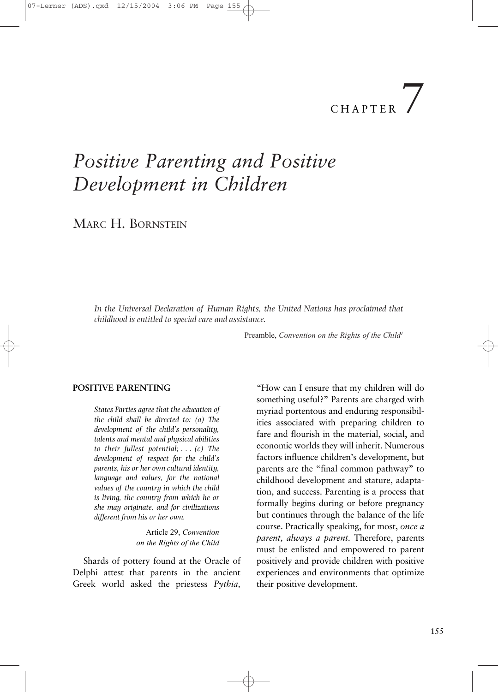# 7 CHAPTER

# *Positive Parenting and Positive Development in Children*

MARC H. BORNSTEIN

*In the Universal Declaration of Human Rights, the United Nations has proclaimed that childhood is entitled to special care and assistance.*

Preamble, *Convention on the Rights of the Child<sup>1</sup>* 

## **POSITIVE PARENTING**

*States Parties agree that the education of the child shall be directed to: (a) The development of the child's personality, talents and mental and physical abilities to their fullest potential; . . . (c) The development of respect for the child's parents, his or her own cultural identity, language and values, for the national values of the country in which the child is living, the country from which he or she may originate, and for civilizations different from his or her own.*

> Article 29, *Convention on the Rights of the Child*

Shards of pottery found at the Oracle of Delphi attest that parents in the ancient Greek world asked the priestess *Pythia,*

"How can I ensure that my children will do something useful?" Parents are charged with myriad portentous and enduring responsibilities associated with preparing children to fare and flourish in the material, social, and economic worlds they will inherit. Numerous factors influence children's development, but parents are the "final common pathway" to childhood development and stature, adaptation, and success. Parenting is a process that formally begins during or before pregnancy but continues through the balance of the life course. Practically speaking, for most, *once a parent, always a parent.* Therefore, parents must be enlisted and empowered to parent positively and provide children with positive experiences and environments that optimize their positive development.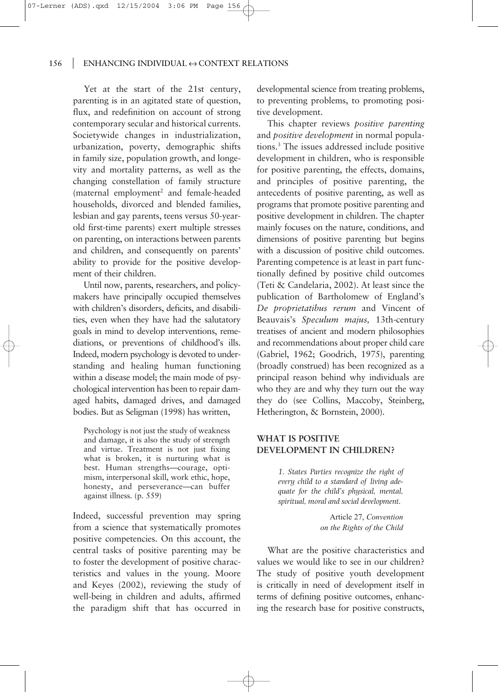Yet at the start of the 21st century, parenting is in an agitated state of question, flux, and redefinition on account of strong contemporary secular and historical currents. Societywide changes in industrialization, urbanization, poverty, demographic shifts in family size, population growth, and longevity and mortality patterns, as well as the changing constellation of family structure (maternal employment<sup>2</sup> and female-headed households, divorced and blended families, lesbian and gay parents, teens versus 50-yearold first-time parents) exert multiple stresses on parenting, on interactions between parents and children, and consequently on parents' ability to provide for the positive development of their children.

Until now, parents, researchers, and policymakers have principally occupied themselves with children's disorders, deficits, and disabilities, even when they have had the salutatory goals in mind to develop interventions, remediations, or preventions of childhood's ills. Indeed, modern psychology is devoted to understanding and healing human functioning within a disease model; the main mode of psychological intervention has been to repair damaged habits, damaged drives, and damaged bodies. But as Seligman (1998) has written,

Psychology is not just the study of weakness and damage, it is also the study of strength and virtue. Treatment is not just fixing what is broken, it is nurturing what is best. Human strengths—courage, optimism, interpersonal skill, work ethic, hope, honesty, and perseverance—can buffer against illness. (p. 559)

Indeed, successful prevention may spring from a science that systematically promotes positive competencies. On this account, the central tasks of positive parenting may be to foster the development of positive characteristics and values in the young. Moore and Keyes (2002), reviewing the study of well-being in children and adults, affirmed the paradigm shift that has occurred in

developmental science from treating problems, to preventing problems, to promoting positive development.

This chapter reviews *positive parenting* and *positive development* in normal populations.3 The issues addressed include positive development in children, who is responsible for positive parenting, the effects, domains, and principles of positive parenting, the antecedents of positive parenting, as well as programs that promote positive parenting and positive development in children. The chapter mainly focuses on the nature, conditions, and dimensions of positive parenting but begins with a discussion of positive child outcomes. Parenting competence is at least in part functionally defined by positive child outcomes (Teti & Candelaria, 2002). At least since the publication of Bartholomew of England's *De proprietatibus rerum* and Vincent of Beauvais's *Speculum majus,* 13th-century treatises of ancient and modern philosophies and recommendations about proper child care (Gabriel, 1962; Goodrich, 1975), parenting (broadly construed) has been recognized as a principal reason behind why individuals are who they are and why they turn out the way they do (see Collins, Maccoby, Steinberg, Hetherington, & Bornstein, 2000).

## **WHAT IS POSITIVE DEVELOPMENT IN CHILDREN?**

*1. States Parties recognize the right of every child to a standard of living adequate for the child's physical, mental, spiritual, moral and social development.*

> Article 27, *Convention on the Rights of the Child*

What are the positive characteristics and values we would like to see in our children? The study of positive youth development is critically in need of development itself in terms of defining positive outcomes, enhancing the research base for positive constructs,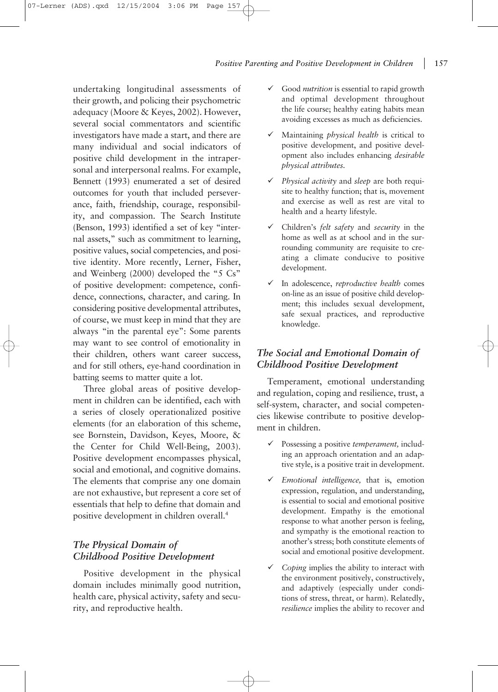## *Positive Parenting and Positive Development in Children* | 157

undertaking longitudinal assessments of their growth, and policing their psychometric adequacy (Moore & Keyes, 2002). However, several social commentators and scientific investigators have made a start, and there are many individual and social indicators of positive child development in the intrapersonal and interpersonal realms. For example, Bennett (1993) enumerated a set of desired outcomes for youth that included perseverance, faith, friendship, courage, responsibility, and compassion. The Search Institute (Benson, 1993) identified a set of key "internal assets," such as commitment to learning, positive values, social competencies, and positive identity. More recently, Lerner, Fisher, and Weinberg (2000) developed the "5 Cs" of positive development: competence, confidence, connections, character, and caring. In considering positive developmental attributes, of course, we must keep in mind that they are always "in the parental eye": Some parents may want to see control of emotionality in their children, others want career success, and for still others, eye-hand coordination in batting seems to matter quite a lot.

Three global areas of positive development in children can be identified, each with a series of closely operationalized positive elements (for an elaboration of this scheme, see Bornstein, Davidson, Keyes, Moore, & the Center for Child Well-Being, 2003). Positive development encompasses physical, social and emotional, and cognitive domains. The elements that comprise any one domain are not exhaustive, but represent a core set of essentials that help to define that domain and positive development in children overall.4

# *The Physical Domain of Childhood Positive Development*

Positive development in the physical domain includes minimally good nutrition, health care, physical activity, safety and security, and reproductive health.

- Good *nutrition* is essential to rapid growth and optimal development throughout the life course; healthy eating habits mean avoiding excesses as much as deficiencies.
- Maintaining *physical health* is critical to positive development, and positive development also includes enhancing *desirable physical attributes.*
- *Physical activity* and *sleep* are both requisite to healthy function; that is, movement and exercise as well as rest are vital to health and a hearty lifestyle.
- Children's *felt safety* and *security* in the home as well as at school and in the surrounding community are requisite to creating a climate conducive to positive development.
- In adolescence, *reproductive health* comes on-line as an issue of positive child development; this includes sexual development, safe sexual practices, and reproductive knowledge.

# *The Social and Emotional Domain of Childhood Positive Development*

Temperament, emotional understanding and regulation, coping and resilience, trust, a self-system, character, and social competencies likewise contribute to positive development in children.

- Possessing a positive *temperament,* including an approach orientation and an adaptive style, is a positive trait in development.
- *Emotional intelligence,* that is, emotion expression, regulation, and understanding, is essential to social and emotional positive development. Empathy is the emotional response to what another person is feeling, and sympathy is the emotional reaction to another's stress; both constitute elements of social and emotional positive development.
- *Coping* implies the ability to interact with the environment positively, constructively, and adaptively (especially under conditions of stress, threat, or harm). Relatedly, *resilience* implies the ability to recover and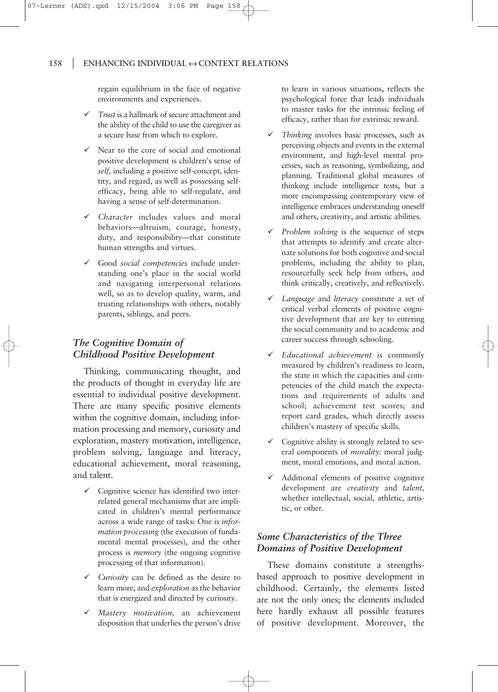regain equilibrium in the face of negative environments and experiences.

- *Trust* is a hallmark of secure attachment and the ability of the child to use the caregiver as a secure base from which to explore.
- Near to the core of social and emotional positive development is children's sense of *self,* including a positive self-concept, identity, and regard, as well as possessing selfefficacy, being able to self-regulate, and having a sense of self-determination.
- *Character* includes values and moral behaviors—altruism, courage, honesty, duty, and responsibility—that constitute human strengths and virtues.
- Good *social competencies* include understanding one's place in the social world and navigating interpersonal relations well, so as to develop quality, warm, and trusting relationships with others, notably parents, siblings, and peers.

# *The Cognitive Domain of Childhood Positive Development*

Thinking, communicating thought, and the products of thought in everyday life are essential to individual positive development. There are many specific positive elements within the cognitive domain, including information processing and memory, curiosity and exploration, mastery motivation, intelligence, problem solving, language and literacy, educational achievement, moral reasoning, and talent.

- $\checkmark$  Cognitive science has identified two interrelated general mechanisms that are implicated in children's mental performance across a wide range of tasks: One is *information processing* (the execution of fundamental mental processes), and the other process is *memory* (the ongoing cognitive processing of that information).
- *Curiosity* can be defined as the desire to learn more, and *exploration* as the behavior that is energized and directed by curiosity.
- *Mastery motivation,* an achievement disposition that underlies the person's drive

to learn in various situations, reflects the psychological force that leads individuals to master tasks for the intrinsic feeling of efficacy, rather than for extrinsic reward.

- *Thinking* involves basic processes, such as perceiving objects and events in the external environment, and high-level mental processes, such as reasoning, symbolizing, and planning. Traditional global measures of thinking include intelligence tests, but a more encompassing contemporary view of intelligence embraces understanding oneself and others, creativity, and artistic abilities.
- *Problem solving* is the sequence of steps that attempts to identify and create alternate solutions for both cognitive and social problems, including the ability to plan, resourcefully seek help from others, and think critically, creatively, and reflectively.
- *Language* and *literacy* constitute a set of critical verbal elements of positive cognitive development that are key to entering the social community and to academic and career success through schooling.
- *Educational achievement* is commonly measured by children's readiness to learn, the state in which the capacities and competencies of the child match the expectations and requirements of adults and school; achievement test scores; and report card grades, which directly assess children's mastery of specific skills.
- $\checkmark$  Cognitive ability is strongly related to several components of *morality:* moral judgment, moral emotions, and moral action.
- Additional elements of positive cognitive development are *creativity* and *talent,* whether intellectual, social, athletic, artistic, or other.

# *Some Characteristics of the Three Domains of Positive Development*

These domains constitute a strengthsbased approach to positive development in childhood. Certainly, the elements listed are not the only ones; the elements included here hardly exhaust all possible features of positive development. Moreover, the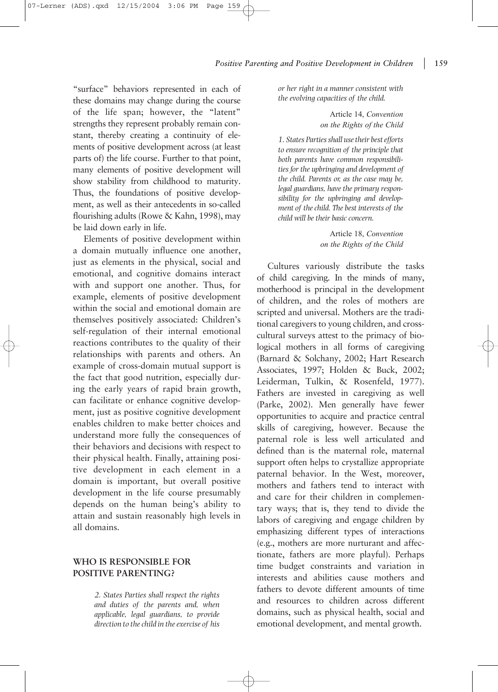"surface" behaviors represented in each of these domains may change during the course of the life span; however, the "latent" strengths they represent probably remain constant, thereby creating a continuity of elements of positive development across (at least parts of) the life course. Further to that point, many elements of positive development will show stability from childhood to maturity. Thus, the foundations of positive development, as well as their antecedents in so-called flourishing adults (Rowe & Kahn, 1998), may be laid down early in life.

Elements of positive development within a domain mutually influence one another, just as elements in the physical, social and emotional, and cognitive domains interact with and support one another. Thus, for example, elements of positive development within the social and emotional domain are themselves positively associated: Children's self-regulation of their internal emotional reactions contributes to the quality of their relationships with parents and others. An example of cross-domain mutual support is the fact that good nutrition, especially during the early years of rapid brain growth, can facilitate or enhance cognitive development, just as positive cognitive development enables children to make better choices and understand more fully the consequences of their behaviors and decisions with respect to their physical health. Finally, attaining positive development in each element in a domain is important, but overall positive development in the life course presumably depends on the human being's ability to attain and sustain reasonably high levels in all domains.

## **WHO IS RESPONSIBLE FOR POSITIVE PARENTING?**

*2. States Parties shall respect the rights and duties of the parents and, when applicable, legal guardians, to provide direction to the child in the exercise of his*

*or her right in a manner consistent with the evolving capacities of the child.*

> Article 14, *Convention on the Rights of the Child*

*1. States Parties shall use their best efforts to ensure recognition of the principle that both parents have common responsibilities for the upbringing and development of the child. Parents or, as the case may be, legal guardians, have the primary responsibility for the upbringing and development of the child. The best interests of the child will be their basic concern.*

> Article 18, *Convention on the Rights of the Child*

Cultures variously distribute the tasks of child caregiving. In the minds of many, motherhood is principal in the development of children, and the roles of mothers are scripted and universal. Mothers are the traditional caregivers to young children, and crosscultural surveys attest to the primacy of biological mothers in all forms of caregiving (Barnard & Solchany, 2002; Hart Research Associates, 1997; Holden & Buck, 2002; Leiderman, Tulkin, & Rosenfeld, 1977). Fathers are invested in caregiving as well (Parke, 2002). Men generally have fewer opportunities to acquire and practice central skills of caregiving, however. Because the paternal role is less well articulated and defined than is the maternal role, maternal support often helps to crystallize appropriate paternal behavior. In the West, moreover, mothers and fathers tend to interact with and care for their children in complementary ways; that is, they tend to divide the labors of caregiving and engage children by emphasizing different types of interactions (e.g., mothers are more nurturant and affectionate, fathers are more playful). Perhaps time budget constraints and variation in interests and abilities cause mothers and fathers to devote different amounts of time and resources to children across different domains, such as physical health, social and emotional development, and mental growth.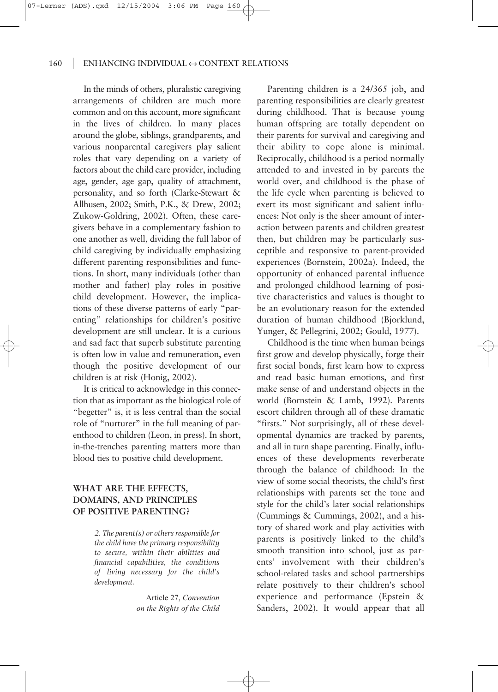In the minds of others, pluralistic caregiving arrangements of children are much more common and on this account, more significant in the lives of children. In many places around the globe, siblings, grandparents, and various nonparental caregivers play salient roles that vary depending on a variety of factors about the child care provider, including age, gender, age gap, quality of attachment, personality, and so forth (Clarke-Stewart & Allhusen, 2002; Smith, P.K., & Drew, 2002; Zukow-Goldring, 2002). Often, these caregivers behave in a complementary fashion to one another as well, dividing the full labor of child caregiving by individually emphasizing different parenting responsibilities and functions. In short, many individuals (other than mother and father) play roles in positive child development. However, the implications of these diverse patterns of early "parenting" relationships for children's positive development are still unclear. It is a curious and sad fact that superb substitute parenting is often low in value and remuneration, even though the positive development of our children is at risk (Honig, 2002).

It is critical to acknowledge in this connection that as important as the biological role of "begetter" is, it is less central than the social role of "nurturer" in the full meaning of parenthood to children (Leon, in press). In short, in-the-trenches parenting matters more than blood ties to positive child development.

# **WHAT ARE THE EFFECTS, DOMAINS, AND PRINCIPLES OF POSITIVE PARENTING?**

*2. The parent(s) or others responsible for the child have the primary responsibility to secure, within their abilities and financial capabilities, the conditions of living necessary for the child's development.*

> Article 27, *Convention on the Rights of the Child*

Parenting children is a 24/365 job, and parenting responsibilities are clearly greatest during childhood. That is because young human offspring are totally dependent on their parents for survival and caregiving and their ability to cope alone is minimal. Reciprocally, childhood is a period normally attended to and invested in by parents the world over, and childhood is the phase of the life cycle when parenting is believed to exert its most significant and salient influences: Not only is the sheer amount of interaction between parents and children greatest then, but children may be particularly susceptible and responsive to parent-provided experiences (Bornstein, 2002a). Indeed, the opportunity of enhanced parental influence and prolonged childhood learning of positive characteristics and values is thought to be an evolutionary reason for the extended duration of human childhood (Bjorklund, Yunger, & Pellegrini, 2002; Gould, 1977).

Childhood is the time when human beings first grow and develop physically, forge their first social bonds, first learn how to express and read basic human emotions, and first make sense of and understand objects in the world (Bornstein & Lamb, 1992). Parents escort children through all of these dramatic "firsts." Not surprisingly, all of these developmental dynamics are tracked by parents, and all in turn shape parenting. Finally, influences of these developments reverberate through the balance of childhood: In the view of some social theorists, the child's first relationships with parents set the tone and style for the child's later social relationships (Cummings & Cummings, 2002), and a history of shared work and play activities with parents is positively linked to the child's smooth transition into school, just as parents' involvement with their children's school-related tasks and school partnerships relate positively to their children's school experience and performance (Epstein & Sanders, 2002). It would appear that all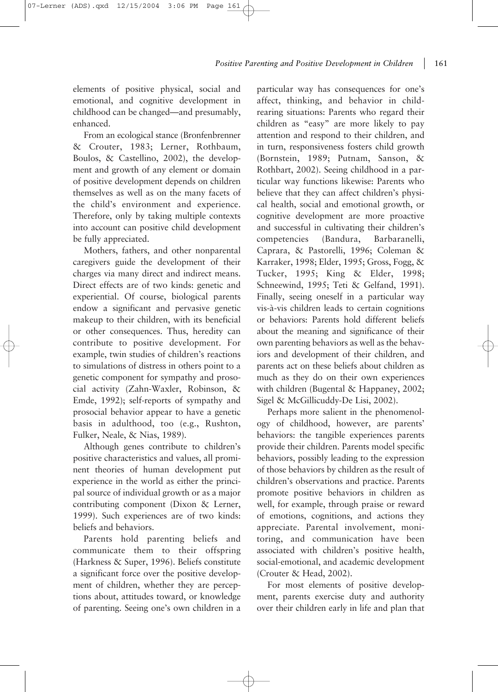#### *Positive Parenting and Positive Development in Children* 161

elements of positive physical, social and emotional, and cognitive development in childhood can be changed—and presumably, enhanced.

From an ecological stance (Bronfenbrenner & Crouter, 1983; Lerner, Rothbaum, Boulos, & Castellino, 2002), the development and growth of any element or domain of positive development depends on children themselves as well as on the many facets of the child's environment and experience. Therefore, only by taking multiple contexts into account can positive child development be fully appreciated.

Mothers, fathers, and other nonparental caregivers guide the development of their charges via many direct and indirect means. Direct effects are of two kinds: genetic and experiential. Of course, biological parents endow a significant and pervasive genetic makeup to their children, with its beneficial or other consequences. Thus, heredity can contribute to positive development. For example, twin studies of children's reactions to simulations of distress in others point to a genetic component for sympathy and prosocial activity (Zahn-Waxler, Robinson, & Emde, 1992); self-reports of sympathy and prosocial behavior appear to have a genetic basis in adulthood, too (e.g., Rushton, Fulker, Neale, & Nias, 1989).

Although genes contribute to children's positive characteristics and values, all prominent theories of human development put experience in the world as either the principal source of individual growth or as a major contributing component (Dixon & Lerner, 1999). Such experiences are of two kinds: beliefs and behaviors.

Parents hold parenting beliefs and communicate them to their offspring (Harkness & Super, 1996). Beliefs constitute a significant force over the positive development of children, whether they are perceptions about, attitudes toward, or knowledge of parenting. Seeing one's own children in a

particular way has consequences for one's affect, thinking, and behavior in childrearing situations: Parents who regard their children as "easy" are more likely to pay attention and respond to their children, and in turn, responsiveness fosters child growth (Bornstein, 1989; Putnam, Sanson, & Rothbart, 2002). Seeing childhood in a particular way functions likewise: Parents who believe that they can affect children's physical health, social and emotional growth, or cognitive development are more proactive and successful in cultivating their children's competencies (Bandura, Barbaranelli, Caprara, & Pastorelli, 1996; Coleman & Karraker, 1998; Elder, 1995; Gross, Fogg, & Tucker, 1995; King & Elder, 1998; Schneewind, 1995; Teti & Gelfand, 1991). Finally, seeing oneself in a particular way vis-à-vis children leads to certain cognitions or behaviors: Parents hold different beliefs about the meaning and significance of their own parenting behaviors as well as the behaviors and development of their children, and parents act on these beliefs about children as much as they do on their own experiences with children (Bugental & Happaney, 2002; Sigel & McGillicuddy-De Lisi, 2002).

Perhaps more salient in the phenomenology of childhood, however, are parents' behaviors: the tangible experiences parents provide their children. Parents model specific behaviors, possibly leading to the expression of those behaviors by children as the result of children's observations and practice. Parents promote positive behaviors in children as well, for example, through praise or reward of emotions, cognitions, and actions they appreciate. Parental involvement, monitoring, and communication have been associated with children's positive health, social-emotional, and academic development (Crouter & Head, 2002).

For most elements of positive development, parents exercise duty and authority over their children early in life and plan that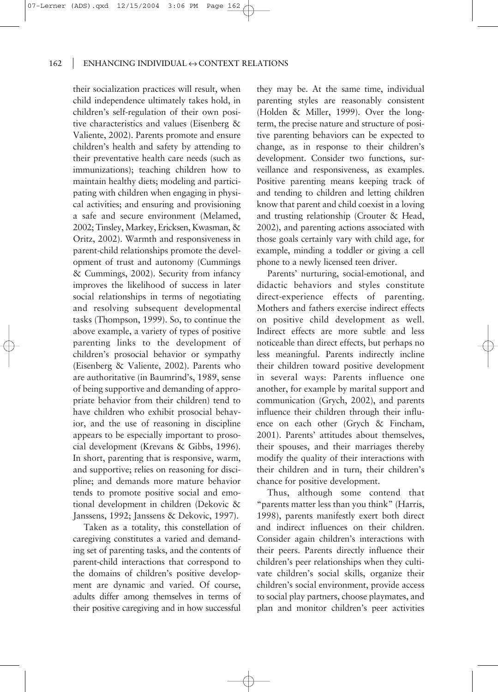their socialization practices will result, when child independence ultimately takes hold, in children's self-regulation of their own positive characteristics and values (Eisenberg & Valiente, 2002). Parents promote and ensure children's health and safety by attending to their preventative health care needs (such as immunizations); teaching children how to maintain healthy diets; modeling and participating with children when engaging in physical activities; and ensuring and provisioning a safe and secure environment (Melamed, 2002; Tinsley, Markey, Ericksen, Kwasman, & Oritz, 2002). Warmth and responsiveness in parent-child relationships promote the development of trust and autonomy (Cummings & Cummings, 2002). Security from infancy improves the likelihood of success in later social relationships in terms of negotiating and resolving subsequent developmental tasks (Thompson, 1999). So, to continue the above example, a variety of types of positive parenting links to the development of children's prosocial behavior or sympathy (Eisenberg & Valiente, 2002). Parents who are authoritative (in Baumrind's, 1989, sense of being supportive and demanding of appropriate behavior from their children) tend to have children who exhibit prosocial behavior, and the use of reasoning in discipline appears to be especially important to prosocial development (Krevans & Gibbs, 1996). In short, parenting that is responsive, warm, and supportive; relies on reasoning for discipline; and demands more mature behavior tends to promote positive social and emotional development in children (Dekovic & Janssens, 1992; Janssens & Dekovic, 1997).

Taken as a totality, this constellation of caregiving constitutes a varied and demanding set of parenting tasks, and the contents of parent-child interactions that correspond to the domains of children's positive development are dynamic and varied. Of course, adults differ among themselves in terms of their positive caregiving and in how successful

they may be. At the same time, individual parenting styles are reasonably consistent (Holden & Miller, 1999). Over the longterm, the precise nature and structure of positive parenting behaviors can be expected to change, as in response to their children's development. Consider two functions, surveillance and responsiveness, as examples. Positive parenting means keeping track of and tending to children and letting children know that parent and child coexist in a loving and trusting relationship (Crouter & Head, 2002), and parenting actions associated with those goals certainly vary with child age, for example, minding a toddler or giving a cell phone to a newly licensed teen driver.

Parents' nurturing, social-emotional, and didactic behaviors and styles constitute direct-experience effects of parenting. Mothers and fathers exercise indirect effects on positive child development as well. Indirect effects are more subtle and less noticeable than direct effects, but perhaps no less meaningful. Parents indirectly incline their children toward positive development in several ways: Parents influence one another, for example by marital support and communication (Grych, 2002), and parents influence their children through their influence on each other (Grych & Fincham, 2001). Parents' attitudes about themselves, their spouses, and their marriages thereby modify the quality of their interactions with their children and in turn, their children's chance for positive development.

Thus, although some contend that "parents matter less than you think" (Harris, 1998), parents manifestly exert both direct and indirect influences on their children. Consider again children's interactions with their peers. Parents directly influence their children's peer relationships when they cultivate children's social skills, organize their children's social environment, provide access to social play partners, choose playmates, and plan and monitor children's peer activities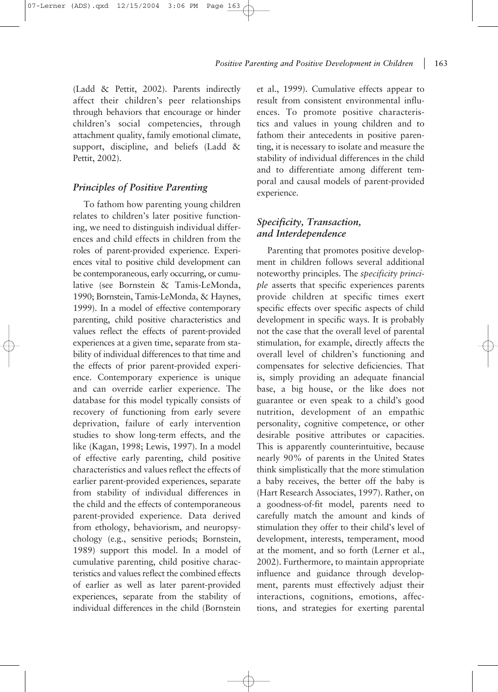(Ladd & Pettit, 2002). Parents indirectly affect their children's peer relationships through behaviors that encourage or hinder children's social competencies, through attachment quality, family emotional climate, support, discipline, and beliefs (Ladd & Pettit, 2002).

## *Principles of Positive Parenting*

To fathom how parenting young children relates to children's later positive functioning, we need to distinguish individual differences and child effects in children from the roles of parent-provided experience. Experiences vital to positive child development can be contemporaneous, early occurring, or cumulative (see Bornstein & Tamis-LeMonda, 1990; Bornstein, Tamis-LeMonda, & Haynes, 1999). In a model of effective contemporary parenting, child positive characteristics and values reflect the effects of parent-provided experiences at a given time, separate from stability of individual differences to that time and the effects of prior parent-provided experience. Contemporary experience is unique and can override earlier experience. The database for this model typically consists of recovery of functioning from early severe deprivation, failure of early intervention studies to show long-term effects, and the like (Kagan, 1998; Lewis, 1997). In a model of effective early parenting, child positive characteristics and values reflect the effects of earlier parent-provided experiences, separate from stability of individual differences in the child and the effects of contemporaneous parent-provided experience. Data derived from ethology, behaviorism, and neuropsychology (e.g., sensitive periods; Bornstein, 1989) support this model. In a model of cumulative parenting, child positive characteristics and values reflect the combined effects of earlier as well as later parent-provided experiences, separate from the stability of individual differences in the child (Bornstein

et al., 1999). Cumulative effects appear to result from consistent environmental influences. To promote positive characteristics and values in young children and to fathom their antecedents in positive parenting, it is necessary to isolate and measure the stability of individual differences in the child and to differentiate among different temporal and causal models of parent-provided experience.

# *Specificity, Transaction, and Interdependence*

Parenting that promotes positive development in children follows several additional noteworthy principles. The *specificity principle* asserts that specific experiences parents provide children at specific times exert specific effects over specific aspects of child development in specific ways. It is probably not the case that the overall level of parental stimulation, for example, directly affects the overall level of children's functioning and compensates for selective deficiencies. That is, simply providing an adequate financial base, a big house, or the like does not guarantee or even speak to a child's good nutrition, development of an empathic personality, cognitive competence, or other desirable positive attributes or capacities. This is apparently counterintuitive, because nearly 90% of parents in the United States think simplistically that the more stimulation a baby receives, the better off the baby is (Hart Research Associates, 1997). Rather, on a goodness-of-fit model, parents need to carefully match the amount and kinds of stimulation they offer to their child's level of development, interests, temperament, mood at the moment, and so forth (Lerner et al., 2002). Furthermore, to maintain appropriate influence and guidance through development, parents must effectively adjust their interactions, cognitions, emotions, affections, and strategies for exerting parental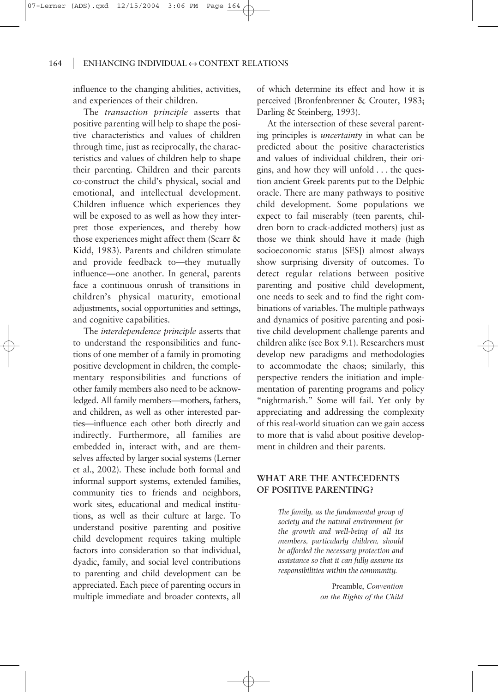influence to the changing abilities, activities, and experiences of their children.

The *transaction principle* asserts that positive parenting will help to shape the positive characteristics and values of children through time, just as reciprocally, the characteristics and values of children help to shape their parenting. Children and their parents co-construct the child's physical, social and emotional, and intellectual development. Children influence which experiences they will be exposed to as well as how they interpret those experiences, and thereby how those experiences might affect them (Scarr & Kidd, 1983). Parents and children stimulate and provide feedback to—they mutually influence—one another. In general, parents face a continuous onrush of transitions in children's physical maturity, emotional adjustments, social opportunities and settings, and cognitive capabilities.

The *interdependence principle* asserts that to understand the responsibilities and functions of one member of a family in promoting positive development in children, the complementary responsibilities and functions of other family members also need to be acknowledged. All family members—mothers, fathers, and children, as well as other interested parties—influence each other both directly and indirectly. Furthermore, all families are embedded in, interact with, and are themselves affected by larger social systems (Lerner et al., 2002). These include both formal and informal support systems, extended families, community ties to friends and neighbors, work sites, educational and medical institutions, as well as their culture at large. To understand positive parenting and positive child development requires taking multiple factors into consideration so that individual, dyadic, family, and social level contributions to parenting and child development can be appreciated. Each piece of parenting occurs in multiple immediate and broader contexts, all of which determine its effect and how it is perceived (Bronfenbrenner & Crouter, 1983; Darling & Steinberg, 1993).

At the intersection of these several parenting principles is *uncertainty* in what can be predicted about the positive characteristics and values of individual children, their origins, and how they will unfold . . . the question ancient Greek parents put to the Delphic oracle. There are many pathways to positive child development. Some populations we expect to fail miserably (teen parents, children born to crack-addicted mothers) just as those we think should have it made (high socioeconomic status [SES]) almost always show surprising diversity of outcomes. To detect regular relations between positive parenting and positive child development, one needs to seek and to find the right combinations of variables. The multiple pathways and dynamics of positive parenting and positive child development challenge parents and children alike (see Box 9.1). Researchers must develop new paradigms and methodologies to accommodate the chaos; similarly, this perspective renders the initiation and implementation of parenting programs and policy "nightmarish." Some will fail. Yet only by appreciating and addressing the complexity of this real-world situation can we gain access to more that is valid about positive development in children and their parents.

## **WHAT ARE THE ANTECEDENTS OF POSITIVE PARENTING?**

*The family, as the fundamental group of society and the natural environment for the growth and well-being of all its members, particularly children, should be afforded the necessary protection and assistance so that it can fully assume its responsibilities within the community.*

> Preamble, *Convention on the Rights of the Child*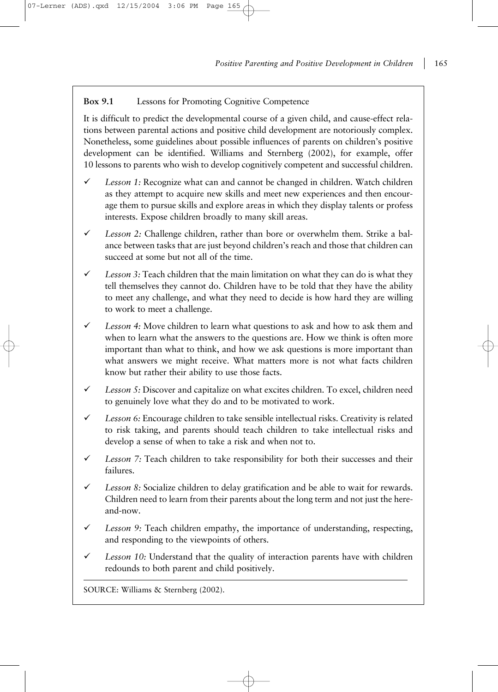## **Box 9.1** Lessons for Promoting Cognitive Competence

It is difficult to predict the developmental course of a given child, and cause-effect relations between parental actions and positive child development are notoriously complex. Nonetheless, some guidelines about possible influences of parents on children's positive development can be identified. Williams and Sternberg (2002), for example, offer 10 lessons to parents who wish to develop cognitively competent and successful children.

- *Lesson 1:* Recognize what can and cannot be changed in children. Watch children as they attempt to acquire new skills and meet new experiences and then encourage them to pursue skills and explore areas in which they display talents or profess interests. Expose children broadly to many skill areas.
- *Lesson 2:* Challenge children, rather than bore or overwhelm them. Strike a balance between tasks that are just beyond children's reach and those that children can succeed at some but not all of the time.
- *Lesson 3:* Teach children that the main limitation on what they can do is what they tell themselves they cannot do. Children have to be told that they have the ability to meet any challenge, and what they need to decide is how hard they are willing to work to meet a challenge.
- *Lesson 4:* Move children to learn what questions to ask and how to ask them and when to learn what the answers to the questions are. How we think is often more important than what to think, and how we ask questions is more important than what answers we might receive. What matters more is not what facts children know but rather their ability to use those facts.
- *Lesson 5:* Discover and capitalize on what excites children. To excel, children need to genuinely love what they do and to be motivated to work.
- *Lesson 6:* Encourage children to take sensible intellectual risks. Creativity is related to risk taking, and parents should teach children to take intellectual risks and develop a sense of when to take a risk and when not to.
- *Lesson 7:* Teach children to take responsibility for both their successes and their failures.
- *Lesson 8:* Socialize children to delay gratification and be able to wait for rewards. Children need to learn from their parents about the long term and not just the hereand-now.
- *Lesson 9:* Teach children empathy, the importance of understanding, respecting, and responding to the viewpoints of others.
- *Lesson 10:* Understand that the quality of interaction parents have with children redounds to both parent and child positively.

SOURCE: Williams & Sternberg (2002).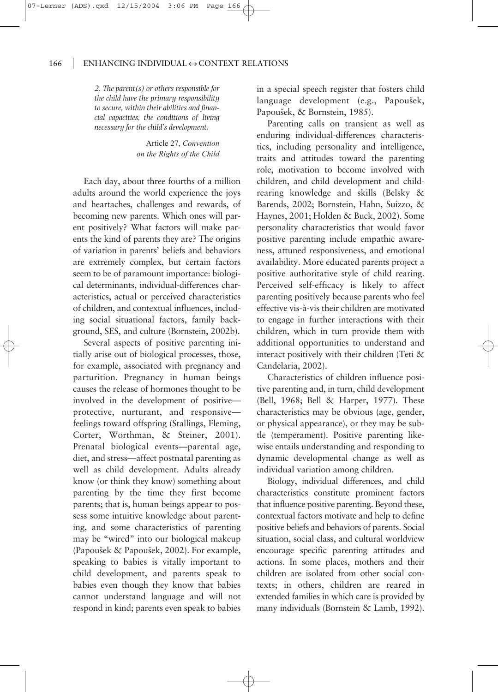*2. The parent(s) or others responsible for the child have the primary responsibility to secure, within their abilities and financial capacities, the conditions of living necessary for the child's development.*

> Article 27, *Convention on the Rights of the Child*

Each day, about three fourths of a million adults around the world experience the joys and heartaches, challenges and rewards, of becoming new parents. Which ones will parent positively? What factors will make parents the kind of parents they are? The origins of variation in parents' beliefs and behaviors are extremely complex, but certain factors seem to be of paramount importance: biological determinants, individual-differences characteristics, actual or perceived characteristics of children, and contextual influences, including social situational factors, family background, SES, and culture (Bornstein, 2002b).

Several aspects of positive parenting initially arise out of biological processes, those, for example, associated with pregnancy and parturition. Pregnancy in human beings causes the release of hormones thought to be involved in the development of positive protective, nurturant, and responsive feelings toward offspring (Stallings, Fleming, Corter, Worthman, & Steiner, 2001). Prenatal biological events—parental age, diet, and stress—affect postnatal parenting as well as child development. Adults already know (or think they know) something about parenting by the time they first become parents; that is, human beings appear to possess some intuitive knowledge about parenting, and some characteristics of parenting may be "wired" into our biological makeup (Papoušek & Papoušek, 2002). For example, speaking to babies is vitally important to child development, and parents speak to babies even though they know that babies cannot understand language and will not respond in kind; parents even speak to babies

in a special speech register that fosters child language development (e.g., Papoušek, Papoušek, & Bornstein, 1985).

Parenting calls on transient as well as enduring individual-differences characteristics, including personality and intelligence, traits and attitudes toward the parenting role, motivation to become involved with children, and child development and childrearing knowledge and skills (Belsky & Barends, 2002; Bornstein, Hahn, Suizzo, & Haynes, 2001; Holden & Buck, 2002). Some personality characteristics that would favor positive parenting include empathic awareness, attuned responsiveness, and emotional availability. More educated parents project a positive authoritative style of child rearing. Perceived self-efficacy is likely to affect parenting positively because parents who feel effective vis-à-vis their children are motivated to engage in further interactions with their children, which in turn provide them with additional opportunities to understand and interact positively with their children (Teti & Candelaria, 2002).

Characteristics of children influence positive parenting and, in turn, child development (Bell, 1968; Bell & Harper, 1977). These characteristics may be obvious (age, gender, or physical appearance), or they may be subtle (temperament). Positive parenting likewise entails understanding and responding to dynamic developmental change as well as individual variation among children.

Biology, individual differences, and child characteristics constitute prominent factors that influence positive parenting. Beyond these, contextual factors motivate and help to define positive beliefs and behaviors of parents. Social situation, social class, and cultural worldview encourage specific parenting attitudes and actions. In some places, mothers and their children are isolated from other social contexts; in others, children are reared in extended families in which care is provided by many individuals (Bornstein & Lamb, 1992).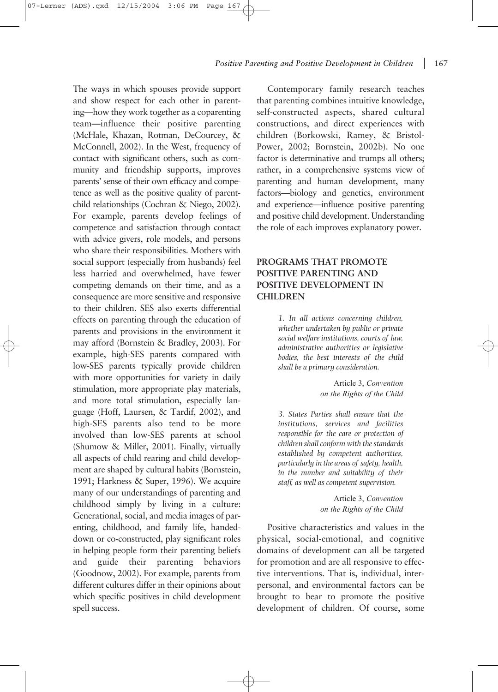#### *Positive Parenting and Positive Development in Children* | 167

The ways in which spouses provide support and show respect for each other in parenting—how they work together as a coparenting team—influence their positive parenting (McHale, Khazan, Rotman, DeCourcey, & McConnell, 2002). In the West, frequency of contact with significant others, such as community and friendship supports, improves parents' sense of their own efficacy and competence as well as the positive quality of parentchild relationships (Cochran & Niego, 2002). For example, parents develop feelings of competence and satisfaction through contact with advice givers, role models, and persons who share their responsibilities. Mothers with social support (especially from husbands) feel less harried and overwhelmed, have fewer competing demands on their time, and as a consequence are more sensitive and responsive to their children. SES also exerts differential effects on parenting through the education of parents and provisions in the environment it may afford (Bornstein & Bradley, 2003). For example, high-SES parents compared with low-SES parents typically provide children with more opportunities for variety in daily stimulation, more appropriate play materials, and more total stimulation, especially language (Hoff, Laursen, & Tardif, 2002), and high-SES parents also tend to be more involved than low-SES parents at school (Shumow & Miller, 2001). Finally, virtually all aspects of child rearing and child development are shaped by cultural habits (Bornstein, 1991; Harkness & Super, 1996). We acquire many of our understandings of parenting and childhood simply by living in a culture: Generational, social, and media images of parenting, childhood, and family life, handeddown or co-constructed, play significant roles in helping people form their parenting beliefs and guide their parenting behaviors (Goodnow, 2002). For example, parents from different cultures differ in their opinions about which specific positives in child development spell success.

Contemporary family research teaches that parenting combines intuitive knowledge, self-constructed aspects, shared cultural constructions, and direct experiences with children (Borkowski, Ramey, & Bristol-Power, 2002; Bornstein, 2002b). No one factor is determinative and trumps all others; rather, in a comprehensive systems view of parenting and human development, many factors—biology and genetics, environment and experience—influence positive parenting and positive child development. Understanding the role of each improves explanatory power.

# **PROGRAMS THAT PROMOTE POSITIVE PARENTING AND POSITIVE DEVELOPMENT IN CHILDREN**

*1. In all actions concerning children, whether undertaken by public or private social welfare institutions, courts of law, administrative authorities or legislative bodies, the best interests of the child shall be a primary consideration.*

> Article 3, *Convention on the Rights of the Child*

*3. States Parties shall ensure that the institutions, services and facilities responsible for the care or protection of children shall conform with the standards established by competent authorities, particularly in the areas of safety, health, in the number and suitability of their staff, as well as competent supervision.*

> Article 3, *Convention on the Rights of the Child*

Positive characteristics and values in the physical, social-emotional, and cognitive domains of development can all be targeted for promotion and are all responsive to effective interventions. That is, individual, interpersonal, and environmental factors can be brought to bear to promote the positive development of children. Of course, some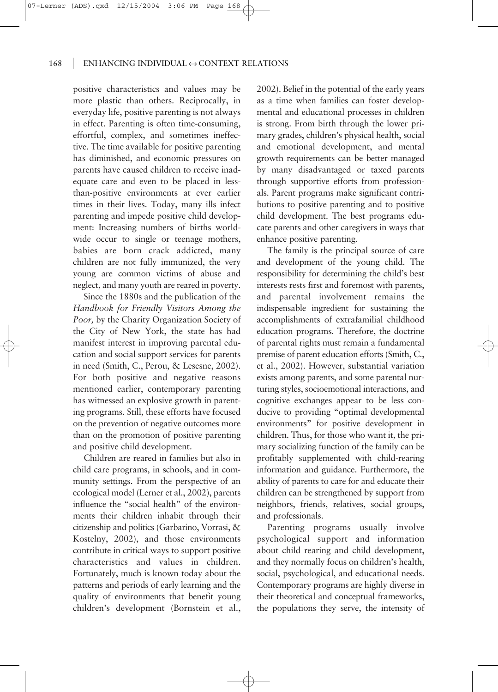positive characteristics and values may be more plastic than others. Reciprocally, in everyday life, positive parenting is not always in effect. Parenting is often time-consuming, effortful, complex, and sometimes ineffective. The time available for positive parenting has diminished, and economic pressures on parents have caused children to receive inadequate care and even to be placed in lessthan-positive environments at ever earlier times in their lives. Today, many ills infect parenting and impede positive child development: Increasing numbers of births worldwide occur to single or teenage mothers, babies are born crack addicted, many children are not fully immunized, the very young are common victims of abuse and neglect, and many youth are reared in poverty.

Since the 1880s and the publication of the *Handbook for Friendly Visitors Among the Poor,* by the Charity Organization Society of the City of New York, the state has had manifest interest in improving parental education and social support services for parents in need (Smith, C., Perou, & Lesesne, 2002). For both positive and negative reasons mentioned earlier, contemporary parenting has witnessed an explosive growth in parenting programs. Still, these efforts have focused on the prevention of negative outcomes more than on the promotion of positive parenting and positive child development.

Children are reared in families but also in child care programs, in schools, and in community settings. From the perspective of an ecological model (Lerner et al., 2002), parents influence the "social health" of the environments their children inhabit through their citizenship and politics (Garbarino, Vorrasi, & Kostelny, 2002), and those environments contribute in critical ways to support positive characteristics and values in children. Fortunately, much is known today about the patterns and periods of early learning and the quality of environments that benefit young children's development (Bornstein et al.,

2002). Belief in the potential of the early years as a time when families can foster developmental and educational processes in children is strong. From birth through the lower primary grades, children's physical health, social and emotional development, and mental growth requirements can be better managed by many disadvantaged or taxed parents through supportive efforts from professionals. Parent programs make significant contributions to positive parenting and to positive child development. The best programs educate parents and other caregivers in ways that enhance positive parenting.

The family is the principal source of care and development of the young child. The responsibility for determining the child's best interests rests first and foremost with parents, and parental involvement remains the indispensable ingredient for sustaining the accomplishments of extrafamilial childhood education programs. Therefore, the doctrine of parental rights must remain a fundamental premise of parent education efforts (Smith, C., et al., 2002). However, substantial variation exists among parents, and some parental nurturing styles, socioemotional interactions, and cognitive exchanges appear to be less conducive to providing "optimal developmental environments" for positive development in children. Thus, for those who want it, the primary socializing function of the family can be profitably supplemented with child-rearing information and guidance. Furthermore, the ability of parents to care for and educate their children can be strengthened by support from neighbors, friends, relatives, social groups, and professionals.

Parenting programs usually involve psychological support and information about child rearing and child development, and they normally focus on children's health, social, psychological, and educational needs. Contemporary programs are highly diverse in their theoretical and conceptual frameworks, the populations they serve, the intensity of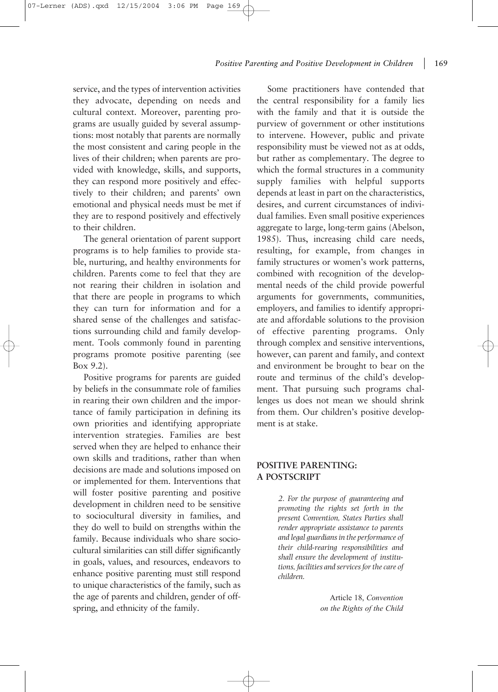### *Positive Parenting and Positive Development in Children* 169

service, and the types of intervention activities they advocate, depending on needs and cultural context. Moreover, parenting programs are usually guided by several assumptions: most notably that parents are normally the most consistent and caring people in the lives of their children; when parents are provided with knowledge, skills, and supports, they can respond more positively and effectively to their children; and parents' own emotional and physical needs must be met if they are to respond positively and effectively to their children.

07-Lerner (ADS).qxd 12/15/2004 3:06 PM Page

The general orientation of parent support programs is to help families to provide stable, nurturing, and healthy environments for children. Parents come to feel that they are not rearing their children in isolation and that there are people in programs to which they can turn for information and for a shared sense of the challenges and satisfactions surrounding child and family development. Tools commonly found in parenting programs promote positive parenting (see Box 9.2).

Positive programs for parents are guided by beliefs in the consummate role of families in rearing their own children and the importance of family participation in defining its own priorities and identifying appropriate intervention strategies. Families are best served when they are helped to enhance their own skills and traditions, rather than when decisions are made and solutions imposed on or implemented for them. Interventions that will foster positive parenting and positive development in children need to be sensitive to sociocultural diversity in families, and they do well to build on strengths within the family. Because individuals who share sociocultural similarities can still differ significantly in goals, values, and resources, endeavors to enhance positive parenting must still respond to unique characteristics of the family, such as the age of parents and children, gender of offspring, and ethnicity of the family.

Some practitioners have contended that the central responsibility for a family lies with the family and that it is outside the purview of government or other institutions to intervene. However, public and private responsibility must be viewed not as at odds, but rather as complementary. The degree to which the formal structures in a community supply families with helpful supports depends at least in part on the characteristics, desires, and current circumstances of individual families. Even small positive experiences aggregate to large, long-term gains (Abelson, 1985). Thus, increasing child care needs, resulting, for example, from changes in family structures or women's work patterns, combined with recognition of the developmental needs of the child provide powerful arguments for governments, communities, employers, and families to identify appropriate and affordable solutions to the provision of effective parenting programs. Only through complex and sensitive interventions, however, can parent and family, and context and environment be brought to bear on the route and terminus of the child's development. That pursuing such programs challenges us does not mean we should shrink from them. Our children's positive development is at stake.

## **POSITIVE PARENTING: A POSTSCRIPT**

*2. For the purpose of guaranteeing and promoting the rights set forth in the present Convention, States Parties shall render appropriate assistance to parents and legal guardians in the performance of their child-rearing responsibilities and shall ensure the development of institutions, facilities and services for the care of children.*

> Article 18, *Convention on the Rights of the Child*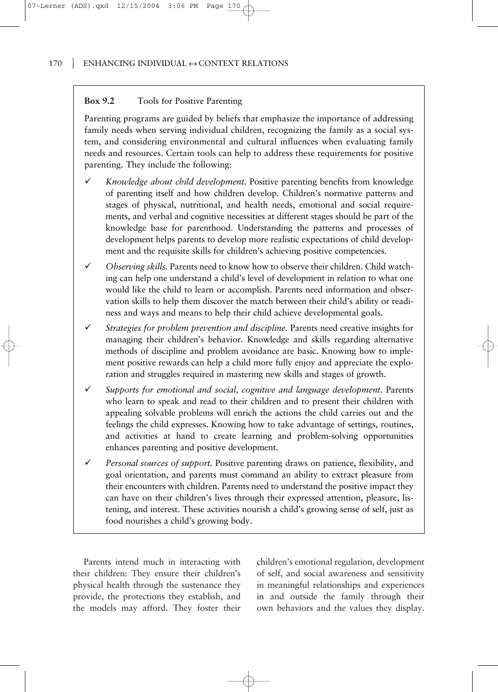## **Box 9.2** Tools for Positive Parenting

Parenting programs are guided by beliefs that emphasize the importance of addressing family needs when serving individual children, recognizing the family as a social system, and considering environmental and cultural influences when evaluating family needs and resources. Certain tools can help to address these requirements for positive parenting. They include the following:

- *Knowledge about child development.* Positive parenting benefits from knowledge of parenting itself and how children develop. Children's normative patterns and stages of physical, nutritional, and health needs, emotional and social requirements, and verbal and cognitive necessities at different stages should be part of the knowledge base for parenthood. Understanding the patterns and processes of development helps parents to develop more realistic expectations of child development and the requisite skills for children's achieving positive competencies.
- *Observing skills.* Parents need to know how to observe their children. Child watching can help one understand a child's level of development in relation to what one would like the child to learn or accomplish. Parents need information and observation skills to help them discover the match between their child's ability or readiness and ways and means to help their child achieve developmental goals.
- *Strategies for problem prevention and discipline*. Parents need creative insights for managing their children's behavior. Knowledge and skills regarding alternative methods of discipline and problem avoidance are basic. Knowing how to implement positive rewards can help a child more fully enjoy and appreciate the exploration and struggles required in mastering new skills and stages of growth.
- *Supports for emotional and social, cognitive and language development*. Parents who learn to speak and read to their children and to present their children with appealing solvable problems will enrich the actions the child carries out and the feelings the child expresses. Knowing how to take advantage of settings, routines, and activities at hand to create learning and problem-solving opportunities enhances parenting and positive development.
- *Personal sources of support.* Positive parenting draws on patience, flexibility, and goal orientation, and parents must command an ability to extract pleasure from their encounters with children. Parents need to understand the positive impact they can have on their children's lives through their expressed attention, pleasure, listening, and interest. These activities nourish a child's growing sense of self, just as food nourishes a child's growing body.

Parents intend much in interacting with their children: They ensure their children's physical health through the sustenance they provide, the protections they establish, and the models may afford. They foster their children's emotional regulation, development of self, and social awareness and sensitivity in meaningful relationships and experiences in and outside the family through their own behaviors and the values they display.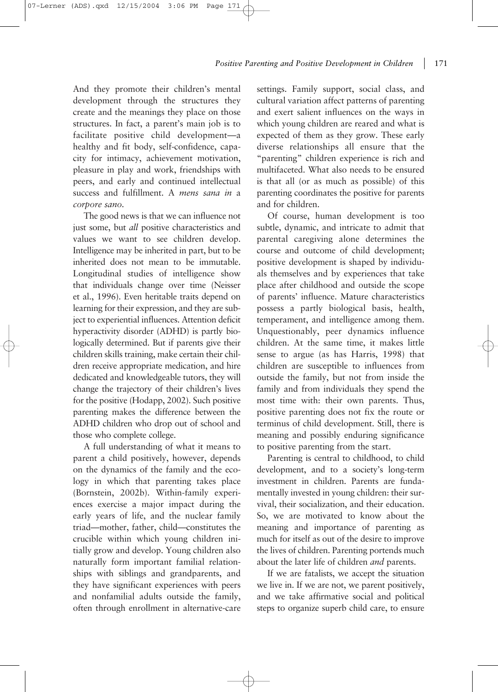## *Positive Parenting and Positive Development in Children* 171

And they promote their children's mental development through the structures they create and the meanings they place on those structures. In fact, a parent's main job is to facilitate positive child development—a healthy and fit body, self-confidence, capacity for intimacy, achievement motivation, pleasure in play and work, friendships with peers, and early and continued intellectual success and fulfillment. A *mens sana in* a *corpore sano.*

07-Lerner (ADS).qxd 12/15/2004 3:06 PM

The good news is that we can influence not just some, but *all* positive characteristics and values we want to see children develop. Intelligence may be inherited in part, but to be inherited does not mean to be immutable. Longitudinal studies of intelligence show that individuals change over time (Neisser et al., 1996). Even heritable traits depend on learning for their expression, and they are subject to experiential influences. Attention deficit hyperactivity disorder (ADHD) is partly biologically determined. But if parents give their children skills training, make certain their children receive appropriate medication, and hire dedicated and knowledgeable tutors, they will change the trajectory of their children's lives for the positive (Hodapp, 2002). Such positive parenting makes the difference between the ADHD children who drop out of school and those who complete college.

A full understanding of what it means to parent a child positively, however, depends on the dynamics of the family and the ecology in which that parenting takes place (Bornstein, 2002b). Within-family experiences exercise a major impact during the early years of life, and the nuclear family triad—mother, father, child—constitutes the crucible within which young children initially grow and develop. Young children also naturally form important familial relationships with siblings and grandparents, and they have significant experiences with peers and nonfamilial adults outside the family, often through enrollment in alternative-care

settings. Family support, social class, and cultural variation affect patterns of parenting and exert salient influences on the ways in which young children are reared and what is expected of them as they grow. These early diverse relationships all ensure that the "parenting" children experience is rich and multifaceted. What also needs to be ensured is that all (or as much as possible) of this parenting coordinates the positive for parents and for children.

Of course, human development is too subtle, dynamic, and intricate to admit that parental caregiving alone determines the course and outcome of child development; positive development is shaped by individuals themselves and by experiences that take place after childhood and outside the scope of parents' influence. Mature characteristics possess a partly biological basis, health, temperament, and intelligence among them. Unquestionably, peer dynamics influence children. At the same time, it makes little sense to argue (as has Harris, 1998) that children are susceptible to influences from outside the family, but not from inside the family and from individuals they spend the most time with: their own parents. Thus, positive parenting does not fix the route or terminus of child development. Still, there is meaning and possibly enduring significance to positive parenting from the start.

Parenting is central to childhood, to child development, and to a society's long-term investment in children. Parents are fundamentally invested in young children: their survival, their socialization, and their education. So, we are motivated to know about the meaning and importance of parenting as much for itself as out of the desire to improve the lives of children. Parenting portends much about the later life of children *and* parents.

If we are fatalists, we accept the situation we live in. If we are not, we parent positively, and we take affirmative social and political steps to organize superb child care, to ensure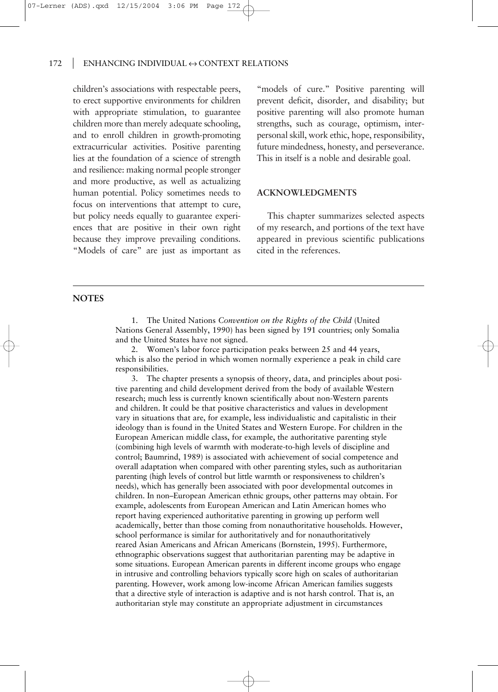children's associations with respectable peers, to erect supportive environments for children with appropriate stimulation, to guarantee children more than merely adequate schooling, and to enroll children in growth-promoting extracurricular activities. Positive parenting lies at the foundation of a science of strength and resilience: making normal people stronger and more productive, as well as actualizing human potential. Policy sometimes needs to focus on interventions that attempt to cure, but policy needs equally to guarantee experiences that are positive in their own right because they improve prevailing conditions. "Models of care" are just as important as "models of cure." Positive parenting will prevent deficit, disorder, and disability; but positive parenting will also promote human strengths, such as courage, optimism, interpersonal skill, work ethic, hope, responsibility, future mindedness, honesty, and perseverance. This in itself is a noble and desirable goal.

## **ACKNOWLEDGMENTS**

This chapter summarizes selected aspects of my research, and portions of the text have appeared in previous scientific publications cited in the references.

## **NOTES**

1. The United Nations *Convention on the Rights of the Child* (United Nations General Assembly, 1990) has been signed by 191 countries; only Somalia and the United States have not signed.

2. Women's labor force participation peaks between 25 and 44 years, which is also the period in which women normally experience a peak in child care responsibilities.

3. The chapter presents a synopsis of theory, data, and principles about positive parenting and child development derived from the body of available Western research; much less is currently known scientifically about non-Western parents and children. It could be that positive characteristics and values in development vary in situations that are, for example, less individualistic and capitalistic in their ideology than is found in the United States and Western Europe. For children in the European American middle class, for example, the authoritative parenting style (combining high levels of warmth with moderate-to-high levels of discipline and control; Baumrind, 1989) is associated with achievement of social competence and overall adaptation when compared with other parenting styles, such as authoritarian parenting (high levels of control but little warmth or responsiveness to children's needs), which has generally been associated with poor developmental outcomes in children. In non–European American ethnic groups, other patterns may obtain. For example, adolescents from European American and Latin American homes who report having experienced authoritative parenting in growing up perform well academically, better than those coming from nonauthoritative households. However, school performance is similar for authoritatively and for nonauthoritatively reared Asian Americans and African Americans (Bornstein, 1995). Furthermore, ethnographic observations suggest that authoritarian parenting may be adaptive in some situations. European American parents in different income groups who engage in intrusive and controlling behaviors typically score high on scales of authoritarian parenting. However, work among low-income African American families suggests that a directive style of interaction is adaptive and is not harsh control. That is, an authoritarian style may constitute an appropriate adjustment in circumstances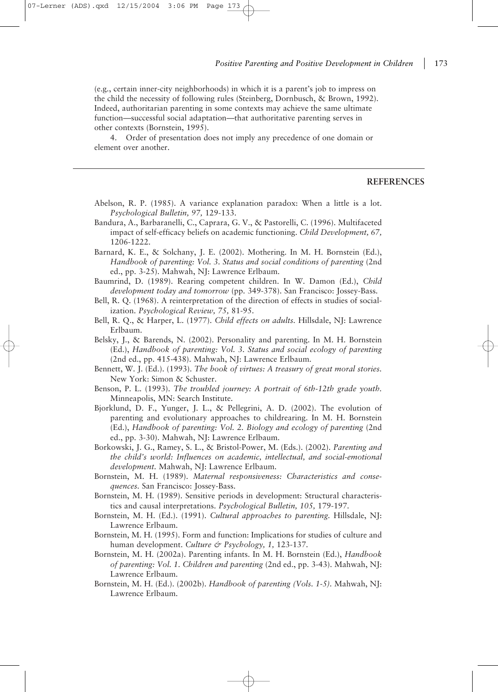(e.g., certain inner-city neighborhoods) in which it is a parent's job to impress on the child the necessity of following rules (Steinberg, Dornbusch, & Brown, 1992). Indeed, authoritarian parenting in some contexts may achieve the same ultimate function—successful social adaptation—that authoritative parenting serves in other contexts (Bornstein, 1995).

4. Order of presentation does not imply any precedence of one domain or element over another.

#### **REFERENCES**

Abelson, R. P. (1985). A variance explanation paradox: When a little is a lot. *Psychological Bulletin, 97,* 129-133.

- Bandura, A., Barbaranelli, C., Caprara, G. V., & Pastorelli, C. (1996). Multifaceted impact of self-efficacy beliefs on academic functioning. *Child Development, 67,* 1206-1222.
- Barnard, K. E., & Solchany, J. E. (2002). Mothering. In M. H. Bornstein (Ed.), *Handbook of parenting: Vol. 3. Status and social conditions of parenting* (2nd ed., pp. 3-25). Mahwah, NJ: Lawrence Erlbaum.
- Baumrind, D. (1989). Rearing competent children. In W. Damon (Ed.), *Child development today and tomorrow* (pp. 349-378). San Francisco: Jossey-Bass.
- Bell, R. Q. (1968). A reinterpretation of the direction of effects in studies of socialization. *Psychological Review, 75,* 81-95.
- Bell, R. Q., & Harper, L. (1977). *Child effects on adults.* Hillsdale, NJ: Lawrence Erlbaum.
- Belsky, J., & Barends, N. (2002). Personality and parenting. In M. H. Bornstein (Ed.), *Handbook of parenting: Vol. 3. Status and social ecology of parenting* (2nd ed., pp. 415-438). Mahwah, NJ: Lawrence Erlbaum.
- Bennett, W. J. (Ed.). (1993). *The book of virtues: A treasury of great moral stories.* New York: Simon & Schuster.
- Benson, P. L. (1993). *The troubled journey: A portrait of 6th-12th grade youth.* Minneapolis, MN: Search Institute.
- Bjorklund, D. F., Yunger, J. L., & Pellegrini, A. D. (2002). The evolution of parenting and evolutionary approaches to childrearing. In M. H. Bornstein (Ed.), *Handbook of parenting: Vol. 2. Biology and ecology of parenting* (2nd ed., pp. 3-30). Mahwah, NJ: Lawrence Erlbaum.
- Borkowski, J. G., Ramey, S. L., & Bristol-Power, M. (Eds.). (2002). *Parenting and the child's world: Influences on academic, intellectual, and social-emotional development.* Mahwah, NJ: Lawrence Erlbaum.
- Bornstein, M. H. (1989). *Maternal responsiveness: Characteristics and consequences.* San Francisco: Jossey-Bass.
- Bornstein, M. H. (1989). Sensitive periods in development: Structural characteristics and causal interpretations. *Psychological Bulletin, 105,* 179-197.
- Bornstein, M. H. (Ed.). (1991). *Cultural approaches to parenting.* Hillsdale, NJ: Lawrence Erlbaum.
- Bornstein, M. H. (1995). Form and function: Implications for studies of culture and human development. *Culture & Psychology*, 1, 123-137.
- Bornstein, M. H. (2002a). Parenting infants. In M. H. Bornstein (Ed.), *Handbook of parenting: Vol. 1. Children and parenting* (2nd ed., pp. 3-43). Mahwah, NJ: Lawrence Erlbaum.
- Bornstein, M. H. (Ed.). (2002b). *Handbook of parenting (Vols. 1-5).* Mahwah, NJ: Lawrence Erlbaum.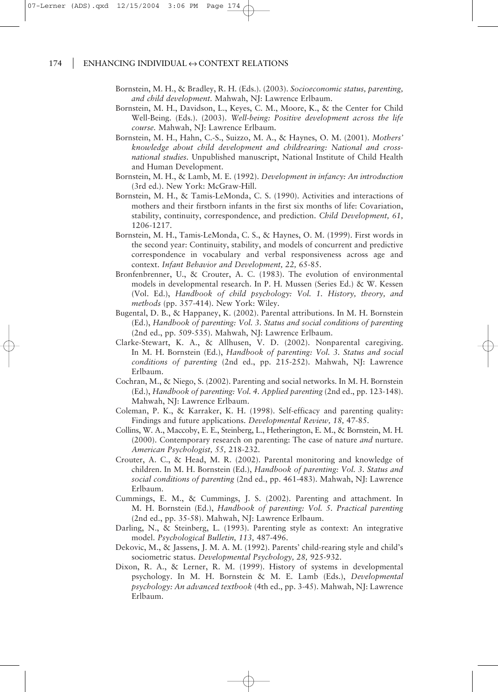- Bornstein, M. H., & Bradley, R. H. (Eds.). (2003). *Socioeconomic status, parenting, and child development.* Mahwah, NJ: Lawrence Erlbaum.
- Bornstein, M. H., Davidson, L., Keyes, C. M., Moore, K., & the Center for Child Well-Being. (Eds.). (2003). *Well-being: Positive development across the life course.* Mahwah, NJ: Lawrence Erlbaum.
- Bornstein, M. H., Hahn, C.-S., Suizzo, M. A., & Haynes, O. M. (2001). *Mothers' knowledge about child development and childrearing: National and crossnational studies.* Unpublished manuscript, National Institute of Child Health and Human Development.
- Bornstein, M. H., & Lamb, M. E. (1992). *Development in infancy: An introduction* (3rd ed.). New York: McGraw-Hill.
- Bornstein, M. H., & Tamis-LeMonda, C. S. (1990). Activities and interactions of mothers and their firstborn infants in the first six months of life: Covariation, stability, continuity, correspondence, and prediction. *Child Development, 61,* 1206-1217.
- Bornstein, M. H., Tamis-LeMonda, C. S., & Haynes, O. M. (1999). First words in the second year: Continuity, stability, and models of concurrent and predictive correspondence in vocabulary and verbal responsiveness across age and context. *Infant Behavior and Development, 22,* 65-85.
- Bronfenbrenner, U., & Crouter, A. C. (1983). The evolution of environmental models in developmental research. In P. H. Mussen (Series Ed.) & W. Kessen (Vol. Ed.), *Handbook of child psychology: Vol. 1. History, theory, and methods* (pp. 357-414). New York: Wiley.
- Bugental, D. B., & Happaney, K. (2002). Parental attributions. In M. H. Bornstein (Ed.), *Handbook of parenting: Vol. 3. Status and social conditions of parenting* (2nd ed., pp. 509-535). Mahwah, NJ: Lawrence Erlbaum.
- Clarke-Stewart, K. A., & Allhusen, V. D. (2002). Nonparental caregiving. In M. H. Bornstein (Ed.), *Handbook of parenting: Vol. 3. Status and social conditions of parenting* (2nd ed., pp. 215-252). Mahwah, NJ: Lawrence Erlbaum.
- Cochran, M., & Niego, S. (2002). Parenting and social networks. In M. H. Bornstein (Ed.), *Handbook of parenting: Vol. 4. Applied parenting* (2nd ed., pp. 123-148). Mahwah, NJ: Lawrence Erlbaum.
- Coleman, P. K., & Karraker, K. H. (1998). Self-efficacy and parenting quality: Findings and future applications. *Developmental Review, 18,* 47-85.
- Collins, W. A., Maccoby, E. E., Steinberg, L., Hetherington, E. M., & Bornstein, M. H. (2000). Contemporary research on parenting: The case of nature *and* nurture. *American Psychologist, 55,* 218-232.
- Crouter, A. C., & Head, M. R. (2002). Parental monitoring and knowledge of children. In M. H. Bornstein (Ed.), *Handbook of parenting: Vol. 3. Status and social conditions of parenting* (2nd ed., pp. 461-483). Mahwah, NJ: Lawrence Erlbaum.
- Cummings, E. M., & Cummings, J. S. (2002). Parenting and attachment. In M. H. Bornstein (Ed.), *Handbook of parenting: Vol. 5. Practical parenting* (2nd ed., pp. 35-58). Mahwah, NJ: Lawrence Erlbaum.
- Darling, N., & Steinberg, L. (1993). Parenting style as context: An integrative model. *Psychological Bulletin, 113,* 487-496.
- Dekovic, M., & Jassens, J. M. A. M. (1992). Parents' child-rearing style and child's sociometric status. *Developmental Psychology, 28,* 925-932.
- Dixon, R. A., & Lerner, R. M. (1999). History of systems in developmental psychology. In M. H. Bornstein & M. E. Lamb (Eds.), *Developmental psychology: An advanced textbook* (4th ed., pp. 3-45). Mahwah, NJ: Lawrence Erlbaum.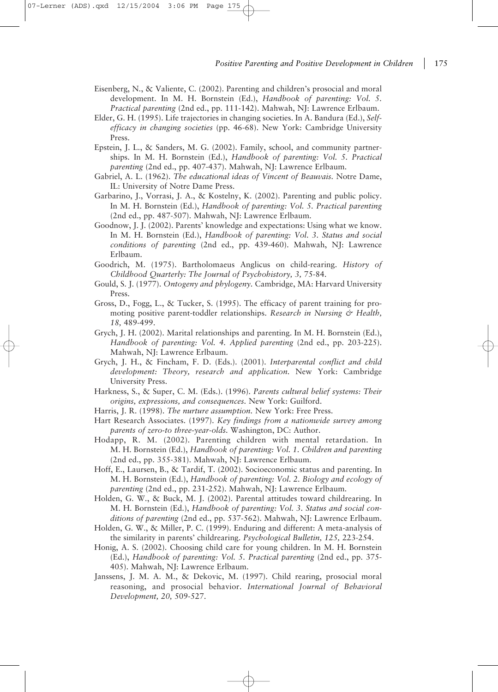#### *Positive Parenting and Positive Development in Children* | 175

- Eisenberg, N., & Valiente, C. (2002). Parenting and children's prosocial and moral development. In M. H. Bornstein (Ed.), *Handbook of parenting: Vol. 5. Practical parenting* (2nd ed., pp. 111-142). Mahwah, NJ: Lawrence Erlbaum.
- Elder, G. H. (1995). Life trajectories in changing societies. In A. Bandura (Ed.), *Selfefficacy in changing societies* (pp. 46-68). New York: Cambridge University Press.
- Epstein, J. L., & Sanders, M. G. (2002). Family, school, and community partnerships. In M. H. Bornstein (Ed.), *Handbook of parenting: Vol. 5. Practical parenting* (2nd ed., pp. 407-437). Mahwah, NJ: Lawrence Erlbaum.
- Gabriel, A. L. (1962). *The educational ideas of Vincent of Beauvais.* Notre Dame, IL: University of Notre Dame Press.
- Garbarino, J., Vorrasi, J. A., & Kostelny, K. (2002). Parenting and public policy. In M. H. Bornstein (Ed.), *Handbook of parenting: Vol. 5. Practical parenting* (2nd ed., pp. 487-507). Mahwah, NJ: Lawrence Erlbaum.
- Goodnow, J. J. (2002). Parents' knowledge and expectations: Using what we know. In M. H. Bornstein (Ed.), *Handbook of parenting: Vol. 3. Status and social conditions of parenting* (2nd ed., pp. 439-460). Mahwah, NJ: Lawrence Erlbaum.
- Goodrich, M. (1975). Bartholomaeus Anglicus on child-rearing. *History of Childhood Quarterly: The Journal of Psychohistory, 3,* 75-84.
- Gould, S. J. (1977). *Ontogeny and phylogeny.* Cambridge, MA: Harvard University Press.
- Gross, D., Fogg, L., & Tucker, S. (1995). The efficacy of parent training for promoting positive parent-toddler relationships. *Research in Nursing & Health, 18,* 489-499.
- Grych, J. H. (2002). Marital relationships and parenting. In M. H. Bornstein (Ed.), *Handbook of parenting: Vol. 4. Applied parenting* (2nd ed., pp. 203-225). Mahwah, NJ: Lawrence Erlbaum.
- Grych, J. H., & Fincham, F. D. (Eds.). (2001). *Interparental conflict and child development: Theory, research and application.* New York: Cambridge University Press.
- Harkness, S., & Super, C. M. (Eds.). (1996). *Parents cultural belief systems: Their origins, expressions, and consequences.* New York: Guilford.
- Harris, J. R. (1998). *The nurture assumption.* New York: Free Press.
- Hart Research Associates. (1997). *Key findings from a nationwide survey among parents of zero-to three-year-olds.* Washington, DC: Author.
- Hodapp, R. M. (2002). Parenting children with mental retardation. In M. H. Bornstein (Ed.), *Handbook of parenting: Vol. 1. Children and parenting* (2nd ed., pp. 355-381). Mahwah, NJ: Lawrence Erlbaum.
- Hoff, E., Laursen, B., & Tardif, T. (2002). Socioeconomic status and parenting. In M. H. Bornstein (Ed.), *Handbook of parenting: Vol. 2. Biology and ecology of parenting* (2nd ed., pp. 231-252). Mahwah, NJ: Lawrence Erlbaum.
- Holden, G. W., & Buck, M. J. (2002). Parental attitudes toward childrearing. In M. H. Bornstein (Ed.), *Handbook of parenting: Vol. 3. Status and social conditions of parenting* (2nd ed., pp. 537-562). Mahwah, NJ: Lawrence Erlbaum.
- Holden, G. W., & Miller, P. C. (1999). Enduring and different: A meta-analysis of the similarity in parents' childrearing. *Psychological Bulletin, 125,* 223-254.
- Honig, A. S. (2002). Choosing child care for young children. In M. H. Bornstein (Ed.), *Handbook of parenting: Vol. 5. Practical parenting* (2nd ed., pp. 375- 405). Mahwah, NJ: Lawrence Erlbaum.
- Janssens, J. M. A. M., & Dekovic, M. (1997). Child rearing, prosocial moral reasoning, and prosocial behavior. *International Journal of Behavioral Development, 20,* 509-527.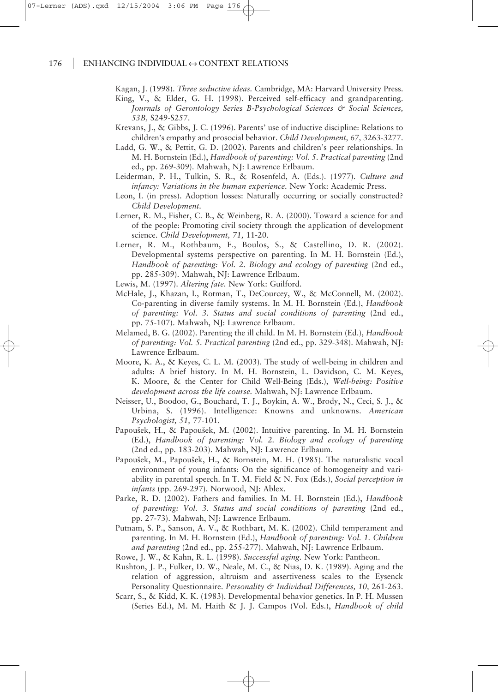Kagan, J. (1998). *Three seductive ideas.* Cambridge, MA: Harvard University Press. King, V., & Elder, G. H. (1998). Perceived self-efficacy and grandparenting.

- *Journals of Gerontology Series B-Psychological Sciences & Social Sciences, 53B,* S249-S257.
- Krevans, J., & Gibbs, J. C. (1996). Parents' use of inductive discipline: Relations to children's empathy and prosocial behavior. *Child Development, 67,* 3263-3277.
- Ladd, G. W., & Pettit, G. D. (2002). Parents and children's peer relationships. In M. H. Bornstein (Ed.), *Handbook of parenting: Vol. 5. Practical parenting* (2nd ed., pp. 269-309). Mahwah, NJ: Lawrence Erlbaum.
- Leiderman, P. H., Tulkin, S. R., & Rosenfeld, A. (Eds.). (1977). *Culture and infancy: Variations in the human experience.* New York: Academic Press.
- Leon, I. (in press). Adoption losses: Naturally occurring or socially constructed? *Child Development.*
- Lerner, R. M., Fisher, C. B., & Weinberg, R. A. (2000). Toward a science for and of the people: Promoting civil society through the application of development science. *Child Development, 71,* 11-20.
- Lerner, R. M., Rothbaum, F., Boulos, S., & Castellino, D. R. (2002). Developmental systems perspective on parenting. In M. H. Bornstein (Ed.), *Handbook of parenting: Vol. 2. Biology and ecology of parenting (2nd ed.,* pp. 285-309). Mahwah, NJ: Lawrence Erlbaum.
- Lewis, M. (1997). *Altering fate.* New York: Guilford.
- McHale, J., Khazan, I., Rotman, T., DeCourcey, W., & McConnell, M. (2002). Co-parenting in diverse family systems. In M. H. Bornstein (Ed.), *Handbook of parenting: Vol. 3. Status and social conditions of parenting* (2nd ed., pp. 75-107). Mahwah, NJ: Lawrence Erlbaum.
- Melamed, B. G. (2002). Parenting the ill child. In M. H. Bornstein (Ed.), *Handbook of parenting: Vol. 5. Practical parenting* (2nd ed., pp. 329-348). Mahwah, NJ: Lawrence Erlbaum.
- Moore, K. A., & Keyes, C. L. M. (2003). The study of well-being in children and adults: A brief history. In M. H. Bornstein, L. Davidson, C. M. Keyes, K. Moore, & the Center for Child Well-Being (Eds.), *Well-being: Positive development across the life course.* Mahwah, NJ: Lawrence Erlbaum.
- Neisser, U., Boodoo, G., Bouchard, T. J., Boykin, A. W., Brody, N., Ceci, S. J., & Urbina, S. (1996). Intelligence: Knowns and unknowns. *American Psychologist, 51,* 77-101.
- Papoušek, H., & Papoušek, M. (2002). Intuitive parenting. In M. H. Bornstein (Ed.), *Handbook of parenting: Vol. 2. Biology and ecology of parenting* (2nd ed., pp. 183-203). Mahwah, NJ: Lawrence Erlbaum.
- Papoušek, M., Papoušek, H., & Bornstein, M. H. (1985). The naturalistic vocal environment of young infants: On the significance of homogeneity and variability in parental speech. In T. M. Field & N. Fox (Eds.), *Social perception in infants* (pp. 269-297). Norwood, NJ: Ablex.
- Parke, R. D. (2002). Fathers and families. In M. H. Bornstein (Ed.), *Handbook of parenting: Vol. 3. Status and social conditions of parenting* (2nd ed., pp. 27-73). Mahwah, NJ: Lawrence Erlbaum.
- Putnam, S. P., Sanson, A. V., & Rothbart, M. K. (2002). Child temperament and parenting. In M. H. Bornstein (Ed.), *Handbook of parenting: Vol. 1. Children and parenting* (2nd ed., pp. 255-277). Mahwah, NJ: Lawrence Erlbaum.
- Rowe, J. W., & Kahn, R. L. (1998). *Successful aging.* New York: Pantheon.
- Rushton, J. P., Fulker, D. W., Neale, M. C., & Nias, D. K. (1989). Aging and the relation of aggression, altruism and assertiveness scales to the Eysenck Personality Questionnaire. *Personality & Individual Differences, 10,* 261-263.
- Scarr, S., & Kidd, K. K. (1983). Developmental behavior genetics. In P. H. Mussen (Series Ed.), M. M. Haith & J. J. Campos (Vol. Eds.), *Handbook of child*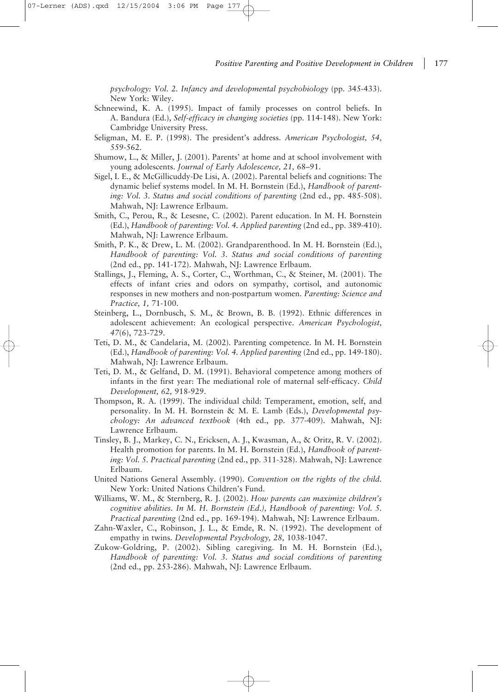*psychology: Vol. 2. Infancy and developmental psychobiology* (pp. 345-433). New York: Wiley.

Schneewind, K. A. (1995). Impact of family processes on control beliefs. In A. Bandura (Ed.), *Self-efficacy in changing societies* (pp. 114-148). New York: Cambridge University Press.

07-Lerner (ADS).qxd 12/15/2004 3:06 PM

- Seligman, M. E. P. (1998). The president's address. *American Psychologist, 54,* 559-562.
- Shumow, L., & Miller, J. (2001). Parents' at home and at school involvement with young adolescents. *Journal of Early Adolescence, 21,* 68–91.
- Sigel, I. E., & McGillicuddy-De Lisi, A. (2002). Parental beliefs and cognitions: The dynamic belief systems model. In M. H. Bornstein (Ed.), *Handbook of parenting: Vol. 3. Status and social conditions of parenting* (2nd ed., pp. 485-508). Mahwah, NJ: Lawrence Erlbaum.
- Smith, C., Perou, R., & Lesesne, C. (2002). Parent education. In M. H. Bornstein (Ed.), *Handbook of parenting: Vol. 4. Applied parenting* (2nd ed., pp. 389-410). Mahwah, NJ: Lawrence Erlbaum.
- Smith, P. K., & Drew, L. M. (2002). Grandparenthood. In M. H. Bornstein (Ed.), *Handbook of parenting: Vol. 3. Status and social conditions of parenting* (2nd ed., pp. 141-172). Mahwah, NJ: Lawrence Erlbaum.
- Stallings, J., Fleming, A. S., Corter, C., Worthman, C., & Steiner, M. (2001). The effects of infant cries and odors on sympathy, cortisol, and autonomic responses in new mothers and non-postpartum women. *Parenting: Science and Practice, 1,* 71-100.
- Steinberg, L., Dornbusch, S. M., & Brown, B. B. (1992). Ethnic differences in adolescent achievement: An ecological perspective. *American Psychologist, 47*(6), 723-729.
- Teti, D. M., & Candelaria, M. (2002). Parenting competence. In M. H. Bornstein (Ed.), *Handbook of parenting: Vol. 4. Applied parenting* (2nd ed., pp. 149-180). Mahwah, NJ: Lawrence Erlbaum.
- Teti, D. M., & Gelfand, D. M. (1991). Behavioral competence among mothers of infants in the first year: The mediational role of maternal self-efficacy. *Child Development, 62,* 918-929.
- Thompson, R. A. (1999). The individual child: Temperament, emotion, self, and personality. In M. H. Bornstein & M. E. Lamb (Eds.), *Developmental psychology: An advanced textbook* (4th ed., pp. 377-409). Mahwah, NJ: Lawrence Erlbaum.
- Tinsley, B. J., Markey, C. N., Ericksen, A. J., Kwasman, A., & Oritz, R. V. (2002). Health promotion for parents. In M. H. Bornstein (Ed.), *Handbook of parenting: Vol. 5. Practical parenting* (2nd ed., pp. 311-328). Mahwah, NJ: Lawrence Erlbaum.
- United Nations General Assembly. (1990). *Convention on the rights of the child.* New York: United Nations Children's Fund.
- Williams, W. M., & Sternberg, R. J. (2002). *How parents can maximize children's cognitive abilities. In M. H. Bornstein (Ed.), Handbook of parenting: Vol. 5. Practical parenting* (2nd ed., pp. 169-194). Mahwah, NJ: Lawrence Erlbaum.
- Zahn-Waxler, C., Robinson, J. L., & Emde, R. N. (1992). The development of empathy in twins. *Developmental Psychology, 28,* 1038-1047.
- Zukow-Goldring, P. (2002). Sibling caregiving. In M. H. Bornstein (Ed.), *Handbook of parenting: Vol. 3. Status and social conditions of parenting* (2nd ed., pp. 253-286). Mahwah, NJ: Lawrence Erlbaum.